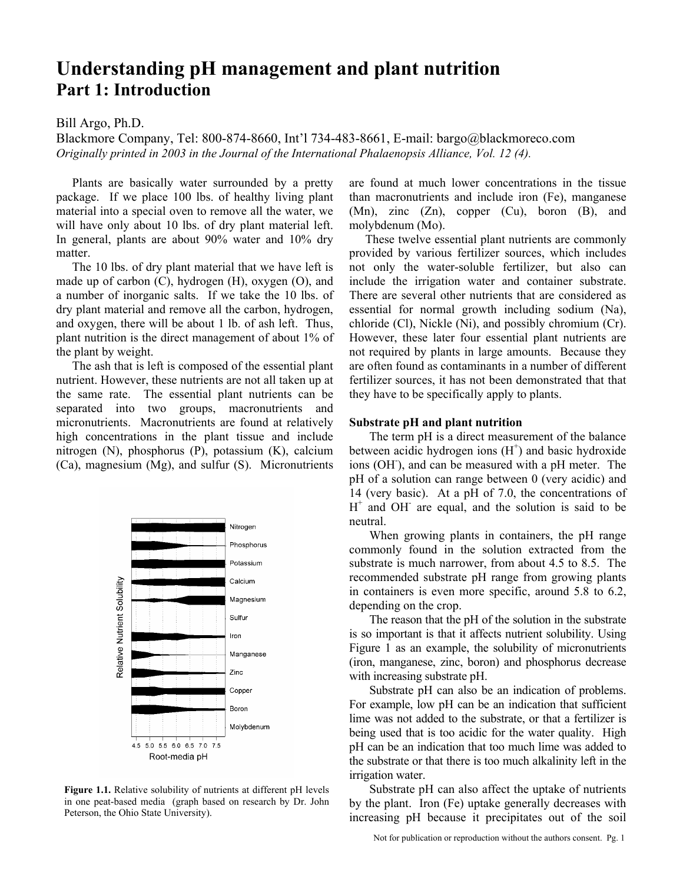# **Understanding pH management and plant nutrition Part 1: Introduction**

## Bill Argo, Ph.D.

Blackmore Company, Tel: 800-874-8660, Int'l 734-483-8661, E-mail: bargo@blackmoreco.com *Originally printed in 2003 in the Journal of the International Phalaenopsis Alliance, Vol. 12 (4).* 

Plants are basically water surrounded by a pretty package. If we place 100 lbs. of healthy living plant material into a special oven to remove all the water, we will have only about 10 lbs. of dry plant material left. In general, plants are about 90% water and 10% dry matter.

The 10 lbs. of dry plant material that we have left is made up of carbon (C), hydrogen (H), oxygen (O), and a number of inorganic salts. If we take the 10 lbs. of dry plant material and remove all the carbon, hydrogen, and oxygen, there will be about 1 lb. of ash left. Thus, plant nutrition is the direct management of about 1% of the plant by weight.

The ash that is left is composed of the essential plant nutrient. However, these nutrients are not all taken up at the same rate. The essential plant nutrients can be separated into two groups, macronutrients and micronutrients. Macronutrients are found at relatively high concentrations in the plant tissue and include nitrogen (N), phosphorus (P), potassium (K), calcium (Ca), magnesium (Mg), and sulfur (S). Micronutrients



**Figure 1.1.** Relative solubility of nutrients at different pH levels in one peat-based media (graph based on research by Dr. John Peterson, the Ohio State University).

are found at much lower concentrations in the tissue than macronutrients and include iron (Fe), manganese (Mn), zinc (Zn), copper (Cu), boron (B), and molybdenum (Mo).

These twelve essential plant nutrients are commonly provided by various fertilizer sources, which includes not only the water-soluble fertilizer, but also can include the irrigation water and container substrate. There are several other nutrients that are considered as essential for normal growth including sodium (Na), chloride (Cl), Nickle (Ni), and possibly chromium (Cr). However, these later four essential plant nutrients are not required by plants in large amounts. Because they are often found as contaminants in a number of different fertilizer sources, it has not been demonstrated that that they have to be specifically apply to plants.

#### **Substrate pH and plant nutrition**

The term pH is a direct measurement of the balance between acidic hydrogen ions  $(H<sup>+</sup>)$  and basic hydroxide ions (OH- ), and can be measured with a pH meter. The pH of a solution can range between 0 (very acidic) and 14 (very basic). At a pH of 7.0, the concentrations of  $H^+$  and OH are equal, and the solution is said to be neutral.

When growing plants in containers, the pH range commonly found in the solution extracted from the substrate is much narrower, from about 4.5 to 8.5. The recommended substrate pH range from growing plants in containers is even more specific, around 5.8 to 6.2, depending on the crop.

The reason that the pH of the solution in the substrate is so important is that it affects nutrient solubility. Using Figure 1 as an example, the solubility of micronutrients (iron, manganese, zinc, boron) and phosphorus decrease with increasing substrate pH.

Substrate pH can also be an indication of problems. For example, low pH can be an indication that sufficient lime was not added to the substrate, or that a fertilizer is being used that is too acidic for the water quality. High pH can be an indication that too much lime was added to the substrate or that there is too much alkalinity left in the irrigation water.

Substrate pH can also affect the uptake of nutrients by the plant. Iron (Fe) uptake generally decreases with increasing pH because it precipitates out of the soil